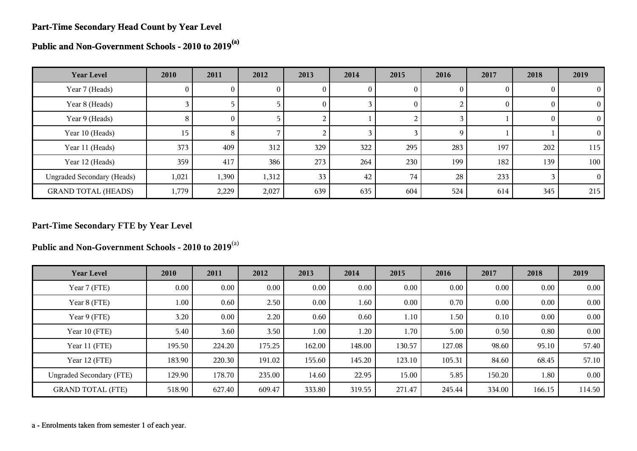#### **Part-Time Secondary Head Count by Year Level**

**Public and Non-Government Schools - 2010 to 2019(a)**

| <b>Year Level</b>                 | 2010         | 2011           | 2012  | 2013         | 2014 | 2015     | 2016 | 2017 | 2018 | 2019           |
|-----------------------------------|--------------|----------------|-------|--------------|------|----------|------|------|------|----------------|
| Year 7 (Heads)                    | $\mathbf{0}$ | U.             | U     | $\mathbf{0}$ | U    | U        | 0    |      |      | $\theta$       |
| Year 8 (Heads)                    |              |                |       | $\theta$     |      | $\theta$ |      | 0    |      | $\overline{0}$ |
| Year 9 (Heads)                    | 8            | $\overline{0}$ |       |              |      | ∠        |      |      |      | $\Omega$       |
| Year 10 (Heads)                   | 15           | 8              |       |              |      |          | 9    |      |      | $\Omega$       |
| Year 11 (Heads)                   | 373          | 409            | 312   | 329          | 322  | 295      | 283  | 197  | 202  | 115            |
| Year 12 (Heads)                   | 359          | 417            | 386   | 273          | 264  | 230      | 199  | 182  | 139  | 100            |
| <b>Ungraded Secondary (Heads)</b> | 1,021        | 1,390          | 1,312 | 33           | 42   | 74       | 28   | 233  |      | $\Omega$       |
| <b>GRAND TOTAL (HEADS)</b>        | 1,779        | 2,229          | 2,027 | 639          | 635  | 604      | 524  | 614  | 345  | 215            |

#### **Part-Time Secondary FTE by Year Level**

**Public and Non-Government Schools - 2010 to 2019**(a)

| <b>Year Level</b>               | 2010   | 2011   | 2012   | 2013     | 2014   | 2015   | 2016   | 2017   | 2018   | 2019     |
|---------------------------------|--------|--------|--------|----------|--------|--------|--------|--------|--------|----------|
| Year 7 (FTE)                    | 0.00   | 0.00   | 0.00   | $0.00\,$ | 0.00   | 0.00   | 0.00   | 0.00   | 0.00   | 0.00     |
| Year 8 (FTE)                    | 1.00   | 0.60   | 2.50   | $0.00\,$ | 1.60   | 0.00   | 0.70   | 0.00   | 0.00   | $0.00\,$ |
| Year 9 (FTE)                    | 3.20   | 0.00   | 2.20   | 0.60     | 0.60   | 1.10   | 1.50   | 0.10   | 0.00   | $0.00\,$ |
| Year 10 (FTE)                   | 5.40   | 3.60   | 3.50   | 1.00     | 1.20   | 1.70   | 5.00   | 0.50   | 0.80   | $0.00\,$ |
| Year 11 (FTE)                   | 195.50 | 224.20 | 175.25 | 162.00   | 148.00 | 130.57 | 127.08 | 98.60  | 95.10  | 57.40    |
| Year 12 (FTE)                   | 183.90 | 220.30 | 191.02 | 155.60   | 145.20 | 123.10 | 105.31 | 84.60  | 68.45  | 57.10    |
| <b>Ungraded Secondary (FTE)</b> | 129.90 | 178.70 | 235.00 | 14.60    | 22.95  | 15.00  | 5.85   | 150.20 | 1.80   | $0.00\,$ |
| <b>GRAND TOTAL (FTE)</b>        | 518.90 | 627.40 | 609.47 | 333.80   | 319.55 | 271.47 | 245.44 | 334.00 | 166.15 | 114.50   |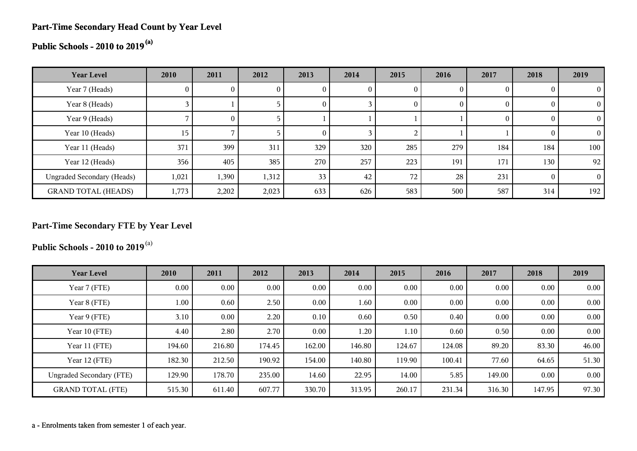#### **Part-Time Secondary Head Count by Year Level**

# **Public Schools - 2010 to 2019(a)**

| <b>Year Level</b>                 | 2010  | 2011     | 2012  | 2013     | 2014 | 2015     | 2016 | 2017 | 2018           | 2019      |
|-----------------------------------|-------|----------|-------|----------|------|----------|------|------|----------------|-----------|
| Year 7 (Heads)                    | U.    |          |       | v        | 0    |          |      |      | $\theta$       |           |
| Year 8 (Heads)                    |       |          |       | 0        |      | $\bf{0}$ | 0    |      | $\overline{0}$ |           |
| Year 9 (Heads)                    |       | $\Omega$ |       |          |      |          |      |      | $\theta$       |           |
| Year 10 (Heads)                   | 15    |          |       | $\Omega$ |      |          |      |      | $\theta$       |           |
| Year 11 (Heads)                   | 371   | 399      | 311   | 329      | 320  | 285      | 279  | 184  | 184            | 100       |
| Year 12 (Heads)                   | 356   | 405      | 385   | 270      | 257  | 223      | 191  | 171  | 130            | $92 \mid$ |
| <b>Ungraded Secondary (Heads)</b> | 1,021 | 1,390    | 1,312 | 33       | 42   | 72       | 28   | 231  | $\Omega$       | $\Omega$  |
| <b>GRAND TOTAL (HEADS)</b>        | 1,773 | 2,202    | 2,023 | 633      | 626  | 583      | 500  | 587  | 314            | 192       |

### **Part-Time Secondary FTE by Year Level**

**Public Schools - 2010 to 2019**(a)

| <b>Year Level</b>               | 2010     | 2011     | 2012   | 2013     | 2014   | 2015   | 2016   | 2017   | 2018   | 2019  |
|---------------------------------|----------|----------|--------|----------|--------|--------|--------|--------|--------|-------|
| Year 7 (FTE)                    | $0.00\,$ | $0.00\,$ | 0.00   | $0.00\,$ | 0.00   | 0.00   | 0.00   | 0.00   | 0.00   | 0.00  |
| Year 8 (FTE)                    | 1.00     | 0.60     | 2.50   | $0.00\,$ | 1.60   | 0.00   | 0.00   | 0.00   | 0.00   | 0.00  |
| Year 9 (FTE)                    | 3.10     | $0.00\,$ | 2.20   | 0.10     | 0.60   | 0.50   | 0.40   | 0.00   | 0.00   | 0.00  |
| Year 10 (FTE)                   | 4.40     | 2.80     | 2.70   | 0.00     | 1.20   | 1.10   | 0.60   | 0.50   | 0.00   | 0.00  |
| Year 11 (FTE)                   | 194.60   | 216.80   | 174.45 | 162.00   | 146.80 | 124.67 | 124.08 | 89.20  | 83.30  | 46.00 |
| Year 12 (FTE)                   | 182.30   | 212.50   | 190.92 | 154.00   | 140.80 | 119.90 | 100.41 | 77.60  | 64.65  | 51.30 |
| <b>Ungraded Secondary (FTE)</b> | 129.90   | 178.70   | 235.00 | 14.60    | 22.95  | 14.00  | 5.85   | 149.00 | 0.00   | 0.00  |
| <b>GRAND TOTAL (FTE)</b>        | 515.30   | 611.40   | 607.77 | 330.70   | 313.95 | 260.17 | 231.34 | 316.30 | 147.95 | 97.30 |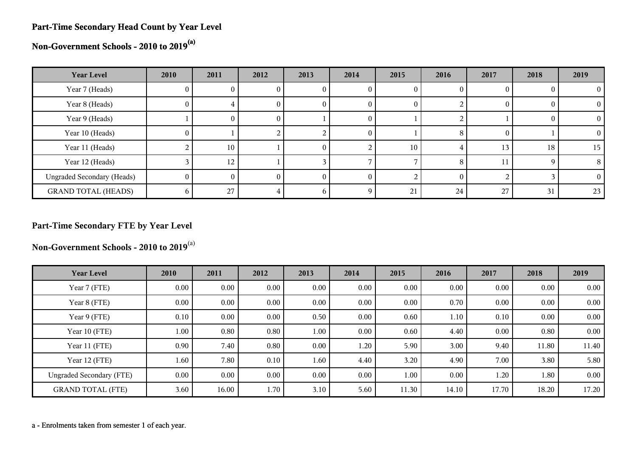#### **Part-Time Secondary Head Count by Year Level**

**Non-Government Schools - 2010 to 2019(a)**

| <b>Year Level</b>                 | 2010           | 2011            | 2012 | 2013     | 2014     | 2015 | 2016     | 2017 | 2018 | 2019     |
|-----------------------------------|----------------|-----------------|------|----------|----------|------|----------|------|------|----------|
| Year 7 (Heads)                    | U.             |                 |      | U        |          |      |          |      |      |          |
| Year 8 (Heads)                    | 0              | 4.              | U    | $\theta$ | O        |      |          |      |      | $\Omega$ |
| Year 9 (Heads)                    |                | $_{0}$          | O.   |          | $\theta$ |      |          |      |      | $\theta$ |
| Year 10 (Heads)                   | $\Omega$       |                 |      |          | $\theta$ |      | 8        | O    |      | 0        |
| Year 11 (Heads)                   |                | 10 <sup>°</sup> |      | U        |          | 10   |          | 13   | 18   | 15       |
| Year 12 (Heads)                   |                | 12 <sub>1</sub> |      |          |          |      | 8        | 11   |      | 8        |
| <b>Ungraded Secondary (Heads)</b> | $\overline{0}$ | $\theta$        | 0    | $\theta$ | $\theta$ |      | $\theta$ |      |      | $\Omega$ |
| <b>GRAND TOTAL (HEADS)</b>        | 6              | 27              |      | n        |          | 21   | 24       | 27   | 31   | 23       |

### **Part-Time Secondary FTE by Year Level**

**Non-Government Schools - 2010 to 2019**(a)

| <b>Year Level</b>               | 2010 | 2011     | 2012     | 2013 | 2014     | 2015  | 2016  | 2017     | 2018     | 2019  |
|---------------------------------|------|----------|----------|------|----------|-------|-------|----------|----------|-------|
| Year 7 (FTE)                    | 0.00 | $0.00\,$ | 0.00     | 0.00 | 0.00     | 0.00  | 0.00  | $0.00\,$ | $0.00\,$ | 0.00  |
| Year 8 (FTE)                    | 0.00 | $0.00\,$ | 0.00     | 0.00 | 0.00     | 0.00  | 0.70  | $0.00\,$ | 0.00     | 0.00  |
| Year 9 (FTE)                    | 0.10 | $0.00\,$ | $0.00\,$ | 0.50 | 0.00     | 0.60  | 1.10  | 0.10     | 0.00     | 0.00  |
| Year 10 (FTE)                   | 1.00 | 0.80     | 0.80     | 1.00 | 0.00     | 0.60  | 4.40  | 0.00     | 0.80     | 0.00  |
| Year 11 (FTE)                   | 0.90 | 7.40     | 0.80     | 0.00 | 1.20     | 5.90  | 3.00  | 9.40     | 11.80    | 11.40 |
| Year 12 (FTE)                   | 1.60 | 7.80     | 0.10     | 1.60 | 4.40     | 3.20  | 4.90  | 7.00     | 3.80     | 5.80  |
| <b>Ungraded Secondary (FTE)</b> | 0.00 | $0.00\,$ | $0.00\,$ | 0.00 | $0.00\,$ | 1.00  | 0.00  | 1.20     | $1.80\,$ | 0.00  |
| <b>GRAND TOTAL (FTE)</b>        | 3.60 | 16.00    | 1.70     | 3.10 | 5.60     | 11.30 | 14.10 | 17.70    | 18.20    | 17.20 |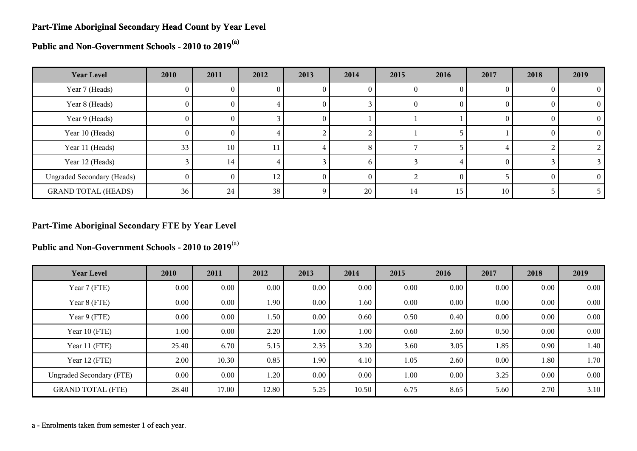#### **Part-Time Aboriginal Secondary Head Count by Year Level**

**Public and Non-Government Schools - 2010 to 2019(a)**

| <b>Year Level</b>                 | 2010     | 2011 | 2012            | 2013     | 2014 | 2015 | 2016 | 2017     | 2018 | 2019     |
|-----------------------------------|----------|------|-----------------|----------|------|------|------|----------|------|----------|
| Year 7 (Heads)                    | 0        |      |                 |          |      |      |      |          |      | 0        |
| Year 8 (Heads)                    | $\theta$ | U.   | 4               | O        |      | 0    | O    | O        |      | $\Omega$ |
| Year 9 (Heads)                    | $\theta$ | O.   |                 | U        |      |      |      | O        |      | $\Omega$ |
| Year 10 (Heads)                   | $\theta$ | 0.   | 4               |          |      |      |      |          |      | $\Omega$ |
| Year 11 (Heads)                   | 33       | 10   | 11              |          | 8    |      |      |          |      |          |
| Year 12 (Heads)                   |          | 14   | 4               |          | n    |      |      | $\theta$ |      |          |
| <b>Ungraded Secondary (Heads)</b> | $\theta$ | 0    | 12              |          |      |      |      |          |      | 0        |
| <b>GRAND TOTAL (HEADS)</b>        | 36       | 24   | 38 <sub>1</sub> | $\Omega$ | 20   | 14   | 15   | 10       |      |          |

#### **Part-Time Aboriginal Secondary FTE by Year Level**

**Public and Non-Government Schools - 2010 to 2019**(a)

| <b>Year Level</b>               | 2010     | 2011     | 2012     | 2013 | 2014     | 2015 | 2016 | 2017 | 2018     | 2019 |
|---------------------------------|----------|----------|----------|------|----------|------|------|------|----------|------|
| Year 7 (FTE)                    | $0.00\,$ | $0.00\,$ | $0.00\,$ | 0.00 | 0.00     | 0.00 | 0.00 | 0.00 | 0.00     | 0.00 |
| Year 8 (FTE)                    | $0.00\,$ | $0.00\,$ | 1.90     | 0.00 | 1.60     | 0.00 | 0.00 | 0.00 | 0.00     | 0.00 |
| Year 9 (FTE)                    | $0.00\,$ | $0.00\,$ | 1.50     | 0.00 | 0.60     | 0.50 | 0.40 | 0.00 | 0.00     | 0.00 |
| Year 10 (FTE)                   | 1.00     | $0.00\,$ | 2.20     | 1.00 | $1.00\,$ | 0.60 | 2.60 | 0.50 | 0.00     | 0.00 |
| Year 11 (FTE)                   | 25.40    | 6.70     | 5.15     | 2.35 | 3.20     | 3.60 | 3.05 | 1.85 | 0.90     | 1.40 |
| Year 12 (FTE)                   | 2.00     | 10.30    | 0.85     | 1.90 | 4.10     | 1.05 | 2.60 | 0.00 | 1.80     | 1.70 |
| <b>Ungraded Secondary (FTE)</b> | 0.00     | $0.00\,$ | $1.20\,$ | 0.00 | 0.00     | 1.00 | 0.00 | 3.25 | $0.00\,$ | 0.00 |
| <b>GRAND TOTAL (FTE)</b>        | 28.40    | 17.00    | 12.80    | 5.25 | 10.50    | 6.75 | 8.65 | 5.60 | 2.70     | 3.10 |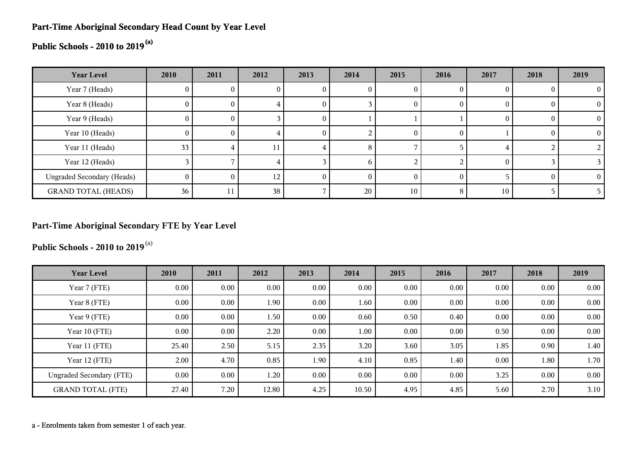#### **Part-Time Aboriginal Secondary Head Count by Year Level**

## **Public Schools - 2010 to 2019(a)**

| <b>Year Level</b>                 | 2010            | 2011 | 2012            | 2013 | 2014         | 2015     | 2016 | 2017     | 2018 | 2019 |
|-----------------------------------|-----------------|------|-----------------|------|--------------|----------|------|----------|------|------|
| Year 7 (Heads)                    |                 |      | U               |      |              | 0        |      |          |      |      |
| Year 8 (Heads)                    | $\mathbf{0}$    |      |                 |      |              | $\theta$ |      | O        |      |      |
| Year 9 (Heads)                    | 0               |      |                 | U    |              |          |      | $\theta$ |      |      |
| Year 10 (Heads)                   | 0               |      |                 | 0    |              | $\theta$ |      |          |      |      |
| Year 11 (Heads)                   | 33 <sub>1</sub> |      |                 |      | 8            |          |      |          |      |      |
| Year 12 (Heads)                   |                 |      |                 |      | <sub>0</sub> |          |      | $\Omega$ |      |      |
| <b>Ungraded Secondary (Heads)</b> | 0               | O    | 12 <sub>1</sub> |      |              | $\theta$ |      |          |      |      |
| <b>GRAND TOTAL (HEADS)</b>        | 36              | 11   | 38              |      | 20           | 10       |      | 10       |      |      |

#### **Part-Time Aboriginal Secondary FTE by Year Level**

**Public Schools - 2010 to 2019**(a)

| <b>Year Level</b>               | 2010  | 2011     | 2012     | 2013 | 2014     | 2015 | 2016 | 2017     | 2018     | 2019 |
|---------------------------------|-------|----------|----------|------|----------|------|------|----------|----------|------|
| Year 7 (FTE)                    | 0.00  | $0.00\,$ | $0.00\,$ | 0.00 | 0.00     | 0.00 | 0.00 | 0.00     | 0.00     | 0.00 |
| Year 8 (FTE)                    | 0.00  | $0.00\,$ | 1.90     | 0.00 | 1.60     | 0.00 | 0.00 | 0.00     | 0.00     | 0.00 |
| Year 9 (FTE)                    | 0.00  | $0.00\,$ | 1.50     | 0.00 | 0.60     | 0.50 | 0.40 | 0.00     | 0.00     | 0.00 |
| Year 10 (FTE)                   | 0.00  | $0.00\,$ | 2.20     | 0.00 | $1.00\,$ | 0.00 | 0.00 | 0.50     | 0.00     | 0.00 |
| Year 11 (FTE)                   | 25.40 | 2.50     | 5.15     | 2.35 | 3.20     | 3.60 | 3.05 | 1.85     | 0.90     | 1.40 |
| Year 12 (FTE)                   | 2.00  | 4.70     | 0.85     | 1.90 | 4.10     | 0.85 | 1.40 | $0.00\,$ | 1.80     | 1.70 |
| <b>Ungraded Secondary (FTE)</b> | 0.00  | $0.00\,$ | 1.20     | 0.00 | $0.00\,$ | 0.00 | 0.00 | 3.25     | $0.00\,$ | 0.00 |
| <b>GRAND TOTAL (FTE)</b>        | 27.40 | 7.20     | 12.80    | 4.25 | 10.50    | 4.95 | 4.85 | 5.60     | 2.70     | 3.10 |